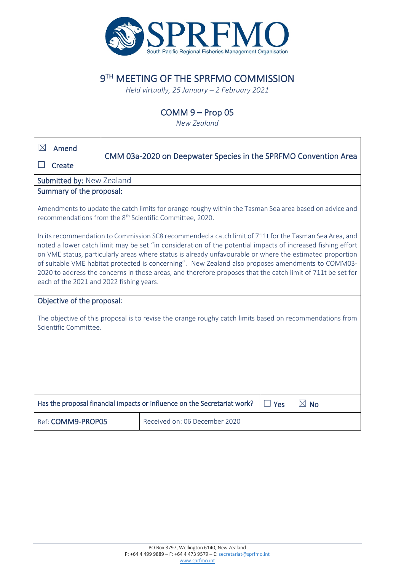

# 9TH MEETING OF THE SPRFMO COMMISSION

*Held virtually, 25 January – 2 February 2021*

## COMM 9 – Prop 05

*New Zealand*

| $\boxtimes$                                                                                                                                                                                                                                                                                                                                                                                                                                                                                                                                                                                       | Amend                                              |                                                                 |  |  |  |  |  |  |
|---------------------------------------------------------------------------------------------------------------------------------------------------------------------------------------------------------------------------------------------------------------------------------------------------------------------------------------------------------------------------------------------------------------------------------------------------------------------------------------------------------------------------------------------------------------------------------------------------|----------------------------------------------------|-----------------------------------------------------------------|--|--|--|--|--|--|
|                                                                                                                                                                                                                                                                                                                                                                                                                                                                                                                                                                                                   | Create                                             | CMM 03a-2020 on Deepwater Species in the SPRFMO Convention Area |  |  |  |  |  |  |
| Submitted by: New Zealand                                                                                                                                                                                                                                                                                                                                                                                                                                                                                                                                                                         |                                                    |                                                                 |  |  |  |  |  |  |
| Summary of the proposal:                                                                                                                                                                                                                                                                                                                                                                                                                                                                                                                                                                          |                                                    |                                                                 |  |  |  |  |  |  |
| Amendments to update the catch limits for orange roughy within the Tasman Sea area based on advice and<br>recommendations from the 8 <sup>th</sup> Scientific Committee, 2020.                                                                                                                                                                                                                                                                                                                                                                                                                    |                                                    |                                                                 |  |  |  |  |  |  |
| In its recommendation to Commission SC8 recommended a catch limit of 711t for the Tasman Sea Area, and<br>noted a lower catch limit may be set "in consideration of the potential impacts of increased fishing effort<br>on VME status, particularly areas where status is already unfavourable or where the estimated proportion<br>of suitable VME habitat protected is concerning". New Zealand also proposes amendments to COMM03-<br>2020 to address the concerns in those areas, and therefore proposes that the catch limit of 711t be set for<br>each of the 2021 and 2022 fishing years. |                                                    |                                                                 |  |  |  |  |  |  |
|                                                                                                                                                                                                                                                                                                                                                                                                                                                                                                                                                                                                   | Objective of the proposal:                         |                                                                 |  |  |  |  |  |  |
| The objective of this proposal is to revise the orange roughy catch limits based on recommendations from<br>Scientific Committee.                                                                                                                                                                                                                                                                                                                                                                                                                                                                 |                                                    |                                                                 |  |  |  |  |  |  |
|                                                                                                                                                                                                                                                                                                                                                                                                                                                                                                                                                                                                   |                                                    |                                                                 |  |  |  |  |  |  |
|                                                                                                                                                                                                                                                                                                                                                                                                                                                                                                                                                                                                   |                                                    |                                                                 |  |  |  |  |  |  |
| Has the proposal financial impacts or influence on the Secretariat work?<br>$\boxtimes$ No<br>$\Box$ Yes                                                                                                                                                                                                                                                                                                                                                                                                                                                                                          |                                                    |                                                                 |  |  |  |  |  |  |
|                                                                                                                                                                                                                                                                                                                                                                                                                                                                                                                                                                                                   | Received on: 06 December 2020<br>Ref: COMM9-PROP05 |                                                                 |  |  |  |  |  |  |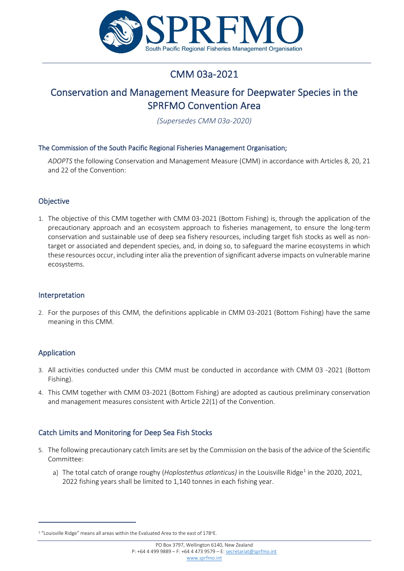

# CMM 03a-2021

## Conservation and Management Measure for Deepwater Species in the SPRFMO Convention Area

*(Supersedes CMM 03a-2020)*

#### The Commission of the South Pacific Regional Fisheries Management Organisation;

*ADOPTS* the following Conservation and Management Measure (CMM) in accordance with Articles 8, 20, 21 and 22 of the Convention:

## Objective

1. The objective of this CMM together with CMM 03-2021 (Bottom Fishing) is, through the application of the precautionary approach and an ecosystem approach to fisheries management, to ensure the long-term conservation and sustainable use of deep sea fishery resources, including target fish stocks as well as nontarget or associated and dependent species, and, in doing so, to safeguard the marine ecosystems in which these resources occur, including inter alia the prevention of significant adverse impacts on vulnerable marine ecosystems.

#### Interpretation

2. For the purposes of this CMM, the definitions applicable in CMM 03-2021 (Bottom Fishing) have the same meaning in this CMM.

## Application

- 3. All activities conducted under this CMM must be conducted in accordance with CMM 03 -2021 (Bottom Fishing).
- 4. This CMM together with CMM 03-2021 (Bottom Fishing) are adopted as cautious preliminary conservation and management measures consistent with Article 22(1) of the Convention.

## Catch Limits and Monitoring for Deep Sea Fish Stocks

- 5. The following precautionary catch limits are set by the Commission on the basis of the advice of the Scientific Committee:
	- a) The total catch of orange roughy (*Hoplostethus atlanticus*) in the Louisville Ridge<sup>[1](#page-1-0)</sup> in the 2020, 2021, 2022 fishing years shall be limited to 1,140 tonnes in each fishing year.

<span id="page-1-0"></span> $1$  "Louisville Ridge" means all areas within the Evaluated Area to the east of 178 $^{\circ}$ E.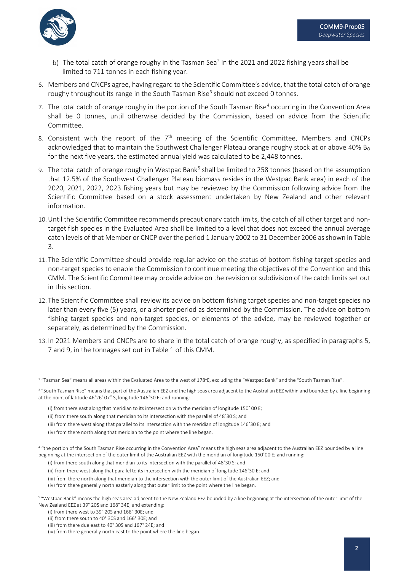

- b) The total catch of orange roughy in the Tasman Sea<sup>[2](#page-2-0)</sup> in the 2021 and 2022 fishing years shall be limited to 711 tonnes in each fishing year.
- 6. Members and CNCPs agree, having regard to the Scientific Committee's advice, that the total catch of orange roughy throughout its range in the South Tasman Rise<sup>[3](#page-2-1)</sup> should not exceed 0 tonnes.
- 7. The total catch of orange roughy in the portion of the South Tasman Rise<sup>4</sup> occurring in the Convention Area shall be 0 tonnes, until otherwise decided by the Commission, based on advice from the Scientific Committee.
- 8. Consistent with the report of the  $7<sup>th</sup>$  meeting of the Scientific Committee, Members and CNCPs acknowledged that to maintain the Southwest Challenger Plateau orange roughy stock at or above 40%  $B_0$ for the next five years, the estimated annual yield was calculated to be 2,448 tonnes.
- 9. The total catch of orange roughy in Westpac Bank<sup>[5](#page-2-3)</sup> shall be limited to 258 tonnes (based on the assumption that 12.5% of the Southwest Challenger Plateau biomass resides in the Westpac Bank area) in each of the 2020, 2021, 2022, 2023 fishing years but may be reviewed by the Commission following advice from the Scientific Committee based on a stock assessment undertaken by New Zealand and other relevant information.
- 10.Until the Scientific Committee recommends precautionary catch limits, the catch of all other target and nontarget fish species in the Evaluated Area shall be limited to a level that does not exceed the annual average catch levels of that Member or CNCP over the period 1 January 2002 to 31 December 2006 as shown in Table 3.
- 11. The Scientific Committee should provide regular advice on the status of bottom fishing target species and non-target species to enable the Commission to continue meeting the objectives of the Convention and this CMM. The Scientific Committee may provide advice on the revision or subdivision of the catch limits set out in this section.
- 12. The Scientific Committee shall review its advice on bottom fishing target species and non-target species no later than every five (5) years, or a shorter period as determined by the Commission. The advice on bottom fishing target species and non-target species, or elements of the advice, may be reviewed together or separately, as determined by the Commission.
- 13. In 2021 Members and CNCPs are to share in the total catch of orange roughy, as specified in paragraphs 5, 7 and 9, in the tonnages set out in Table 1 of this CMM.

(iv) from there generally north easterly along that outer limit to the point where the line began.

<span id="page-2-0"></span><sup>&</sup>lt;sup>2</sup> "Tasman Sea" means all areas within the Evaluated Area to the west of 178°E, excluding the "Westpac Bank" and the "South Tasman Rise".

<span id="page-2-1"></span><sup>&</sup>lt;sup>3</sup> "South Tasman Rise" means that part of the Australian EEZ and the high seas area adiacent to the Australian EEZ within and bounded by a line beginning at the point of latitude 46˚26' 07" S, longitude 146˚30 E; and running:

<sup>(</sup>i) from there east along that meridian to its intersection with the meridian of longitude 150˚ 00 E;

<sup>(</sup>ii) from there south along that meridian to its intersection with the parallel of 48˚30 S; and

<sup>(</sup>iii) from there west along that parallel to its intersection with the meridian of longitude 146˚30 E; and

<sup>(</sup>iv) from there north along that meridian to the point where the line began.

<span id="page-2-2"></span><sup>4</sup> "the portion of the South Tasman Rise occurring in the Convention Area" means the high seas area adjacent to the Australian EEZ bounded by a line beginning at the intersection of the outer limit of the Australian EEZ with the meridian of longitude 150˚00 E; and running:

<sup>(</sup>i) from there south along that meridian to its intersection with the parallel of 48˚30 S; and

<sup>(</sup>ii) from there west along that parallel to its intersection with the meridian of longitude 146˚30 E; and

<sup>(</sup>iii) from there north along that meridian to the intersection with the outer limit of the Australian EEZ; and

<span id="page-2-3"></span><sup>&</sup>lt;sup>5</sup> "Westpac Bank" means the high seas area adjacent to the New Zealand EEZ bounded by a line beginning at the intersection of the outer limit of the New Zealand EEZ at 39° 20S and 168° 34E; and extending:

<sup>(</sup>i) from there west to 39° 20S and 166° 30E; and

<sup>(</sup>ii) from there south to 40° 30S and 166° 30E; and

<sup>(</sup>iii) from there due east to 40° 30S and 167° 24E; and

<sup>(</sup>iv) from there generally north east to the point where the line began.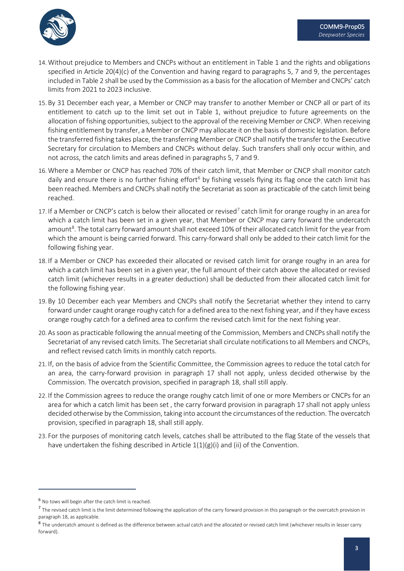

- 14. Without prejudice to Members and CNCPs without an entitlement in Table 1 and the rights and obligations specified in Article 20(4)(c) of the Convention and having regard to paragraphs 5, 7 and 9, the percentages included in Table 2 shall be used by the Commission as a basis for the allocation of Member and CNCPs' catch limits from 2021 to 2023 inclusive.
- 15. By 31 December each year, a Member or CNCP may transfer to another Member or CNCP all or part of its entitlement to catch up to the limit set out in Table 1, without prejudice to future agreements on the allocation of fishing opportunities, subject to the approval of the receiving Member or CNCP. When receiving fishing entitlement by transfer, a Member or CNCP may allocate it on the basis of domestic legislation. Before the transferred fishing takes place, the transferring Member or CNCP shall notify the transfer to the Executive Secretary for circulation to Members and CNCPs without delay. Such transfers shall only occur within, and not across, the catch limits and areas defined in paragraphs 5, 7 and 9.
- 16. Where a Member or CNCP has reached 70% of their catch limit, that Member or CNCP shall monitor catch daily and ensure there is no further fishing effort<sup>[6](#page-3-0)</sup> by fishing vessels flying its flag once the catch limit has been reached. Members and CNCPs shall notify the Secretariat as soon as practicable of the catch limit being reached.
- 1[7](#page-3-1). If a Member or CNCP's catch is below their allocated or revised<sup>7</sup> catch limit for orange roughy in an area for which a catch limit has been set in a given year, that Member or CNCP may carry forward the undercatch amount<sup>[8](#page-3-2)</sup>. The total carry forward amount shall not exceed 10% of their allocated catch limit for the year from which the amount is being carried forward. This carry-forward shall only be added to their catch limit for the following fishing year.
- 18. If a Member or CNCP has exceeded their allocated or revised catch limit for orange roughy in an area for which a catch limit has been set in a given year, the full amount of their catch above the allocated or revised catch limit (whichever results in a greater deduction) shall be deducted from their allocated catch limit for the following fishing year.
- 19. By 10 December each year Members and CNCPs shall notify the Secretariat whether they intend to carry forward under caught orange roughy catch for a defined area to the next fishing year, and if they have excess orange roughy catch for a defined area to confirm the revised catch limit for the next fishing year.
- 20. As soon as practicable following the annual meeting of the Commission, Members and CNCPs shall notify the Secretariat of any revised catch limits. The Secretariat shall circulate notifications to all Members and CNCPs, and reflect revised catch limits in monthly catch reports.
- 21. If, on the basis of advice from the Scientific Committee, the Commission agrees to reduce the total catch for an area, the carry-forward provision in paragraph 17 shall not apply, unless decided otherwise by the Commission. The overcatch provision, specified in paragraph 18, shall still apply.
- 22. If the Commission agrees to reduce the orange roughy catch limit of one or more Members or CNCPs for an area for which a catch limit has been set , the carry forward provision in paragraph 17 shall not apply unless decided otherwise by the Commission, taking into account the circumstances of the reduction. The overcatch provision, specified in paragraph 18, shall still apply.
- 23. For the purposes of monitoring catch levels, catches shall be attributed to the flag State of the vessels that have undertaken the fishing described in Article  $1(1)(g)(i)$  and (ii) of the Convention.

<span id="page-3-0"></span><sup>6</sup> No tows will begin after the catch limit is reached.

<span id="page-3-1"></span><sup>&</sup>lt;sup>7</sup> The revised catch limit is the limit determined following the application of the carry forward provision in this paragraph or the overcatch provision in paragraph 18, as applicable.

<span id="page-3-2"></span><sup>8</sup> The undercatch amount is defined as the difference between actual catch and the allocated or revised catch limit (whichever results in lesser carry forward).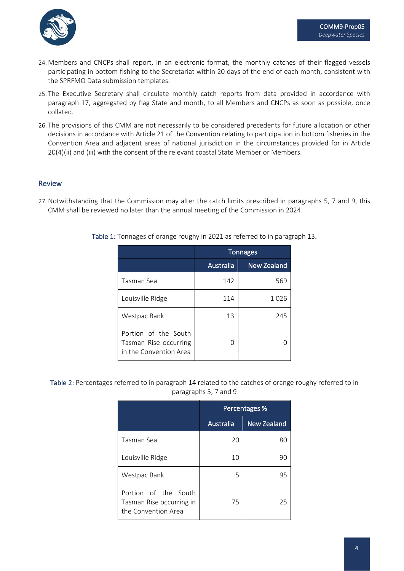

- 24. Members and CNCPs shall report, in an electronic format, the monthly catches of their flagged vessels participating in bottom fishing to the Secretariat within 20 days of the end of each month, consistent with the SPRFMO Data submission templates.
- 25. The Executive Secretary shall circulate monthly catch reports from data provided in accordance with paragraph 17, aggregated by flag State and month, to all Members and CNCPs as soon as possible, once collated.
- 26. The provisions of this CMM are not necessarily to be considered precedents for future allocation or other decisions in accordance with Article 21 of the Convention relating to participation in bottom fisheries in the Convention Area and adjacent areas of national jurisdiction in the circumstances provided for in Article  $20(4)$ (ii) and (iii) with the consent of the relevant coastal State Member or Members.

#### Review

27.Notwithstanding that the Commission may alter the catch limits prescribed in paragraphs 5, 7 and 9, this CMM shall be reviewed no later than the annual meeting of the Commission in 2024.

|                                                                         | <b>Tonnages</b> |                    |  |
|-------------------------------------------------------------------------|-----------------|--------------------|--|
|                                                                         | Australia       | <b>New Zealand</b> |  |
| Tasman Sea                                                              | 142             | 569                |  |
| Louisville Ridge                                                        | 114             | 1026               |  |
| Westpac Bank                                                            | 13              | 245                |  |
| Portion of the South<br>Tasman Rise occurring<br>in the Convention Area |                 |                    |  |

Table 1: Tonnages of orange roughy in 2021 as referred to in paragraph 13.

Table 2: Percentages referred to in paragraph 14 related to the catches of orange roughy referred to in paragraphs 5, 7 and 9

|                                                                         | <b>Percentages %</b> |                    |  |
|-------------------------------------------------------------------------|----------------------|--------------------|--|
|                                                                         | Australia            | <b>New Zealand</b> |  |
| Tasman Sea                                                              | 20                   | 80                 |  |
| Louisville Ridge                                                        | 10                   | 90                 |  |
| Westpac Bank                                                            | 5                    | 95                 |  |
| Portion of the South<br>Tasman Rise occurring in<br>the Convention Area | 75                   | 25                 |  |